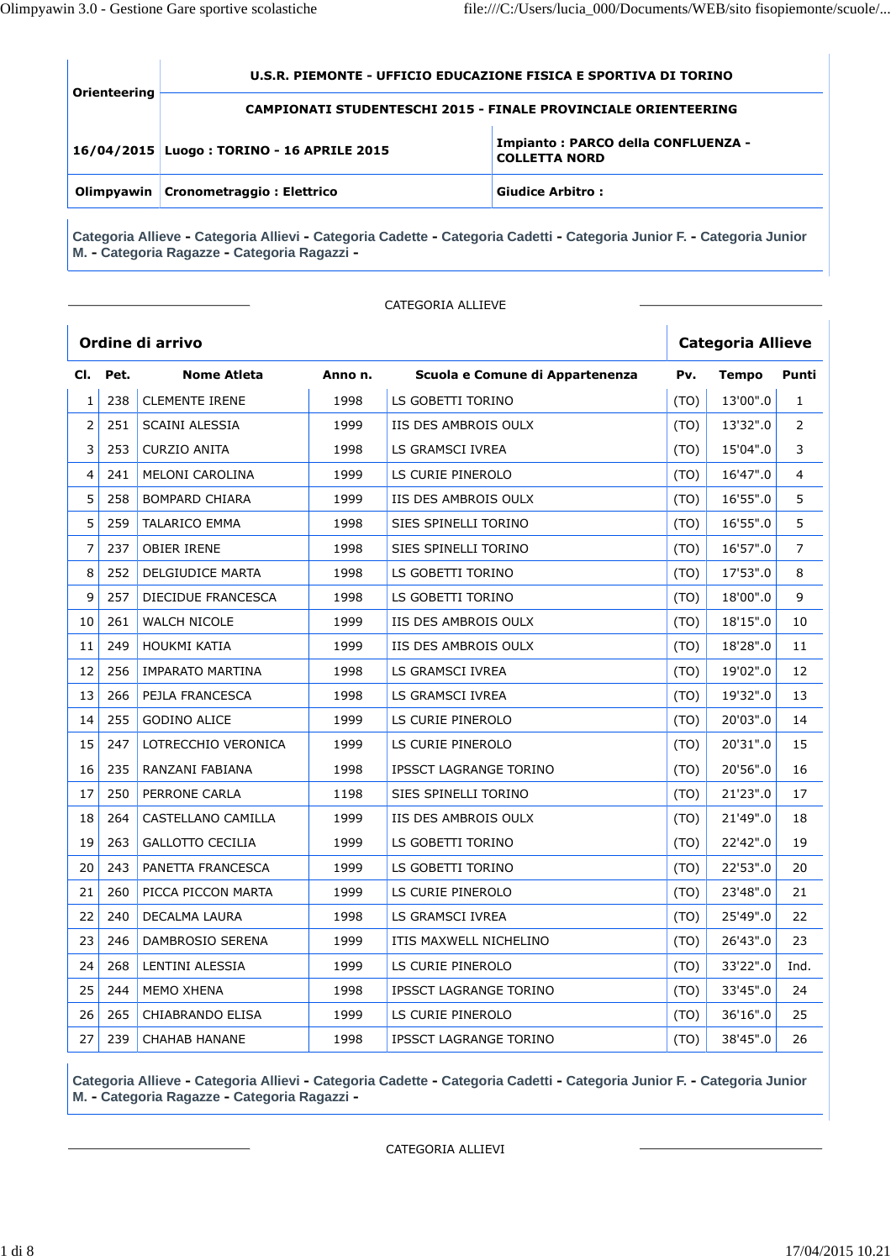| Orienteering | U.S.R. PIEMONTE - UFFICIO EDUCAZIONE FISICA E SPORTIVA DI TORINO      |                                                            |  |  |  |  |
|--------------|-----------------------------------------------------------------------|------------------------------------------------------------|--|--|--|--|
|              | <b>CAMPIONATI STUDENTESCHI 2015 - FINALE PROVINCIALE ORIENTEERING</b> |                                                            |  |  |  |  |
|              | 16/04/2015 Luogo: TORINO - 16 APRILE 2015                             | Impianto: PARCO della CONFLUENZA -<br><b>COLLETTA NORD</b> |  |  |  |  |
|              | Olimpyawin   Cronometraggio : Elettrico                               | <b>Giudice Arbitro:</b>                                    |  |  |  |  |

CATEGORIA ALLIEVE

|                |      | Ordine di arrivo        |         |                                 | <b>Categoria Allieve</b> |              |                |
|----------------|------|-------------------------|---------|---------------------------------|--------------------------|--------------|----------------|
| CI.            | Pet. | <b>Nome Atleta</b>      | Anno n. | Scuola e Comune di Appartenenza | Pv.                      | <b>Tempo</b> | Punti          |
| $\mathbf{1}$   | 238  | <b>CLEMENTE IRENE</b>   | 1998    | LS GOBETTI TORINO               | (TO)                     | 13'00".0     | $\mathbf{1}$   |
| $\overline{2}$ | 251  | <b>SCAINI ALESSIA</b>   | 1999    | IIS DES AMBROIS OULX            | (TO)                     | 13'32".0     | $\overline{2}$ |
| 3              | 253  | <b>CURZIO ANITA</b>     | 1998    | LS GRAMSCI IVREA                | (TO)                     | 15'04".0     | 3              |
| 4              | 241  | <b>MELONI CAROLINA</b>  | 1999    | LS CURIE PINEROLO               | (TO)                     | 16'47".0     | 4              |
| 5              | 258  | <b>BOMPARD CHIARA</b>   | 1999    | IIS DES AMBROIS OULX            | (TO)                     | 16'55".0     | 5              |
| 5              | 259  | <b>TALARICO EMMA</b>    | 1998    | SIES SPINELLI TORINO            | (TO)                     | 16'55".0     | 5              |
| 7              | 237  | <b>OBIER IRENE</b>      | 1998    | SIES SPINELLI TORINO            | (TO)                     | 16'57".0     | 7              |
| 8              | 252  | DELGIUDICE MARTA        | 1998    | LS GOBETTI TORINO               | (TO)                     | 17'53".0     | 8              |
| 9              | 257  | DIECIDUE FRANCESCA      | 1998    | LS GOBETTI TORINO               | (TO)                     | 18'00".0     | 9              |
| 10             | 261  | <b>WALCH NICOLE</b>     | 1999    | IIS DES AMBROIS OULX            | (TO)                     | 18'15".0     | 10             |
| 11             | 249  | <b>HOUKMI KATIA</b>     | 1999    | IIS DES AMBROIS OULX            | (TO)                     | 18'28".0     | 11             |
| 12             | 256  | IMPARATO MARTINA        | 1998    | LS GRAMSCI IVREA                | (TO)                     | 19'02".0     | 12             |
| 13             | 266  | PEJLA FRANCESCA         | 1998    | LS GRAMSCI IVREA                | (TO)                     | 19'32".0     | 13             |
| 14             | 255  | <b>GODINO ALICE</b>     | 1999    | LS CURIE PINEROLO               | (TO)                     | 20'03".0     | 14             |
| 15             | 247  | LOTRECCHIO VERONICA     | 1999    | LS CURIE PINEROLO               | (TO)                     | 20'31".0     | 15             |
| 16             | 235  | RANZANI FABIANA         | 1998    | <b>IPSSCT LAGRANGE TORINO</b>   | (TO)                     | 20'56".0     | 16             |
| 17             | 250  | PERRONE CARLA           | 1198    | SIES SPINELLI TORINO            | (TO)                     | 21'23".0     | 17             |
| 18             | 264  | CASTELLANO CAMILLA      | 1999    | IIS DES AMBROIS OULX            | (TO)                     | 21'49".0     | 18             |
| 19             | 263  | <b>GALLOTTO CECILIA</b> | 1999    | LS GOBETTI TORINO               | (TO)                     | 22'42".0     | 19             |
| 20             | 243  | PANETTA FRANCESCA       | 1999    | LS GOBETTI TORINO               | (TO)                     | 22'53".0     | 20             |
| 21             | 260  | PICCA PICCON MARTA      | 1999    | LS CURIE PINEROLO               | (TO)                     | 23'48".0     | 21             |
| 22             | 240  | <b>DECALMA LAURA</b>    | 1998    | LS GRAMSCI IVREA                | (TO)                     | 25'49".0     | 22             |
| 23             | 246  | DAMBROSIO SERENA        | 1999    | ITIS MAXWELL NICHELINO          | (TO)                     | 26'43".0     | 23             |
| 24             | 268  | LENTINI ALESSIA         | 1999    | LS CURIE PINEROLO               | (TO)                     | 33'22".0     | Ind.           |
| 25             | 244  | <b>MEMO XHENA</b>       | 1998    | <b>IPSSCT LAGRANGE TORINO</b>   | (TO)                     | 33'45".0     | 24             |
| 26             | 265  | <b>CHIABRANDO ELISA</b> | 1999    | LS CURIE PINEROLO               | (TO)                     | 36'16".0     | 25             |
| 27             | 239  | <b>CHAHAB HANANE</b>    | 1998    | <b>IPSSCT LAGRANGE TORINO</b>   | (TO)                     | 38'45".0     | 26             |

**Categoria Allieve - Categoria Allievi - Categoria Cadette - Categoria Cadetti - Categoria Junior F. - Categoria Junior M. - Categoria Ragazze - Categoria Ragazzi -**

CATEGORIA ALLIEVI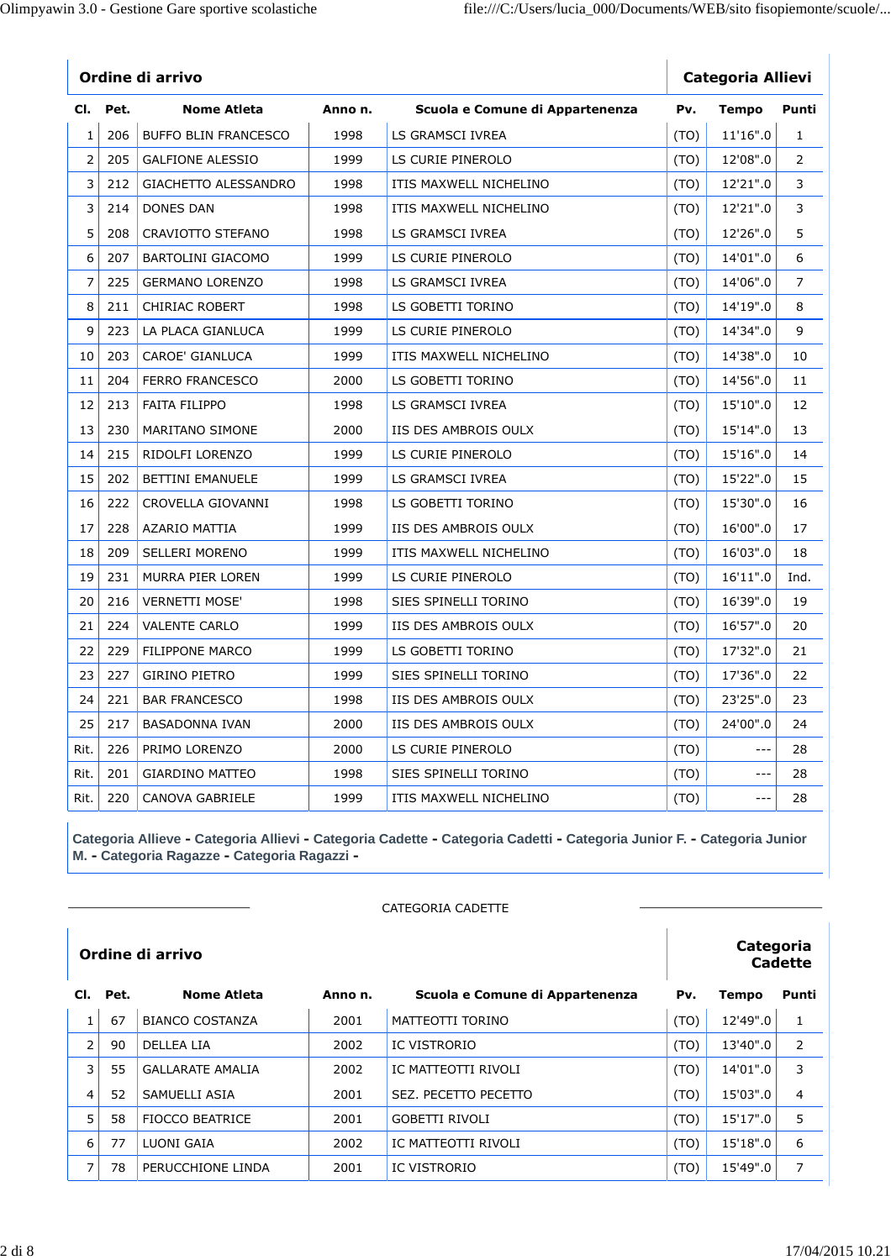|                |          | Ordine di arrivo            |         |                                 | <b>Categoria Allievi</b> |              |                |  |
|----------------|----------|-----------------------------|---------|---------------------------------|--------------------------|--------------|----------------|--|
|                | Cl. Pet. | Nome Atleta                 | Anno n. | Scuola e Comune di Appartenenza | Pv.                      | <b>Tempo</b> | Punti          |  |
| $\mathbf{1}$   | 206      | <b>BUFFO BLIN FRANCESCO</b> | 1998    | LS GRAMSCI IVREA                | (TO)                     | 11'16".0     | $\mathbf{1}$   |  |
| $\overline{2}$ | 205      | <b>GALFIONE ALESSIO</b>     | 1999    | LS CURIE PINEROLO               | (TO)                     | 12'08".0     | $\overline{2}$ |  |
| 3              | 212      | <b>GIACHETTO ALESSANDRO</b> | 1998    | ITIS MAXWELL NICHELINO          | (TO)                     | 12'21".0     | 3              |  |
| 3              | 214      | DONES DAN                   | 1998    | ITIS MAXWELL NICHELINO          | (TO)                     | 12'21".0     | 3              |  |
| 5              | 208      | CRAVIOTTO STEFANO           | 1998    | LS GRAMSCI IVREA                | (TO)                     | 12'26".0     | 5              |  |
| 6              | 207      | <b>BARTOLINI GIACOMO</b>    | 1999    | LS CURIE PINEROLO               | (TO)                     | 14'01".0     | 6              |  |
| 7              | 225      | <b>GERMANO LORENZO</b>      | 1998    | LS GRAMSCI IVREA                | (TO)                     | 14'06".0     | 7              |  |
| 8              | 211      | <b>CHIRIAC ROBERT</b>       | 1998    | LS GOBETTI TORINO               | (TO)                     | 14'19".0     | 8              |  |
| 9              | 223      | LA PLACA GIANLUCA           | 1999    | LS CURIE PINEROLO               | (TO)                     | 14'34".0     | 9              |  |
| 10             | 203      | CAROE' GIANLUCA             | 1999    | ITIS MAXWELL NICHELINO          | (TO)                     | 14'38".0     | 10             |  |
| 11             | 204      | <b>FERRO FRANCESCO</b>      | 2000    | LS GOBETTI TORINO               | (TO)                     | 14'56".0     | 11             |  |
| 12             | 213      | <b>FAITA FILIPPO</b>        | 1998    | LS GRAMSCI IVREA                | (TO)                     | 15'10".0     | 12             |  |
| 13             | 230      | MARITANO SIMONE             | 2000    | IIS DES AMBROIS OULX            | (TO)                     | 15'14".0     | 13             |  |
| 14             | 215      | RIDOLFI LORENZO             | 1999    | LS CURIE PINEROLO               | (TO)                     | 15'16".0     | 14             |  |
| 15             | 202      | <b>BETTINI EMANUELE</b>     | 1999    | LS GRAMSCI IVREA                | (TO)                     | 15'22".0     | 15             |  |
| 16             | 222      | CROVELLA GIOVANNI           | 1998    | LS GOBETTI TORINO               | (TO)                     | 15'30".0     | 16             |  |
| 17             | 228      | <b>AZARIO MATTIA</b>        | 1999    | IIS DES AMBROIS OULX            | (TO)                     | 16'00".0     | 17             |  |
| 18             | 209      | <b>SELLERI MORENO</b>       | 1999    | ITIS MAXWELL NICHELINO          | (TO)                     | 16'03".0     | 18             |  |
| 19             | 231      | MURRA PIER LOREN            | 1999    | LS CURIE PINEROLO               | (TO)                     | 16'11".0     | Ind.           |  |
| 20             | 216      | <b>VERNETTI MOSE'</b>       | 1998    | SIES SPINELLI TORINO            | (TO)                     | 16'39".0     | 19             |  |
| 21             | 224      | <b>VALENTE CARLO</b>        | 1999    | IIS DES AMBROIS OULX            | (TO)                     | 16'57".0     | 20             |  |
| 22             | 229      | <b>FILIPPONE MARCO</b>      | 1999    | LS GOBETTI TORINO               | (TO)                     | 17'32".0     | 21             |  |
| 23             | 227      | <b>GIRINO PIETRO</b>        | 1999    | SIES SPINELLI TORINO            | (TO)                     | 17'36".0     | 22             |  |
| 24             | 221      | <b>BAR FRANCESCO</b>        | 1998    | IIS DES AMBROIS OULX            | (TO)                     | 23'25".0     | 23             |  |
| 25             | 217      | <b>BASADONNA IVAN</b>       | 2000    | IIS DES AMBROIS OULX            | (TO)                     | 24'00".0     | 24             |  |
| Rit.           | 226      | PRIMO LORENZO               | 2000    | LS CURIE PINEROLO               | (TO)                     | $- - -$      | 28             |  |
| Rit.           | 201      | <b>GIARDINO MATTEO</b>      | 1998    | SIES SPINELLI TORINO            | (TO)                     | $---$        | 28             |  |
| Rit.           | 220      | <b>CANOVA GABRIELE</b>      | 1999    | ITIS MAXWELL NICHELINO          | (TO)                     | $ -$         | 28             |  |

|                  | CATEGORIA CADETTE |                         |         |                                 |      |              |                |  |  |  |
|------------------|-------------------|-------------------------|---------|---------------------------------|------|--------------|----------------|--|--|--|
| Ordine di arrivo |                   |                         |         |                                 |      | Categoria    | <b>Cadette</b> |  |  |  |
|                  | Cl. Pet.          | <b>Nome Atleta</b>      | Anno n. | Scuola e Comune di Appartenenza | Pv.  | <b>Tempo</b> | Punti          |  |  |  |
| $\mathbf{1}$     | 67                | <b>BIANCO COSTANZA</b>  | 2001    | MATTEOTTI TORINO                | (TO) | 12'49".0     |                |  |  |  |
| $\overline{2}$   | 90                | <b>DELLEA LIA</b>       | 2002    | IC VISTRORIO                    | (TO) | 13'40".0     | 2              |  |  |  |
| 3                | 55                | <b>GALLARATE AMALIA</b> | 2002    | IC MATTEOTTI RIVOLI             | (TO) | 14'01".0     | 3              |  |  |  |
| 4                | 52                | SAMUELLI ASIA           | 2001    | SEZ. PECETTO PECETTO            | (TO) | 15'03".0     | 4              |  |  |  |
| 5                | 58                | FIOCCO BEATRICE         | 2001    | <b>GOBETTI RIVOLI</b>           | (TO) | 15'17".0     | 5              |  |  |  |
| 6                | 77                | LUONI GAIA              | 2002    | IC MATTEOTTI RIVOLI             | (TO) | 15'18".0     | 6              |  |  |  |
| 7                | 78                | PERUCCHIONE LINDA       | 2001    | <b>IC VISTRORIO</b>             | (TO) | 15'49".0     | 7              |  |  |  |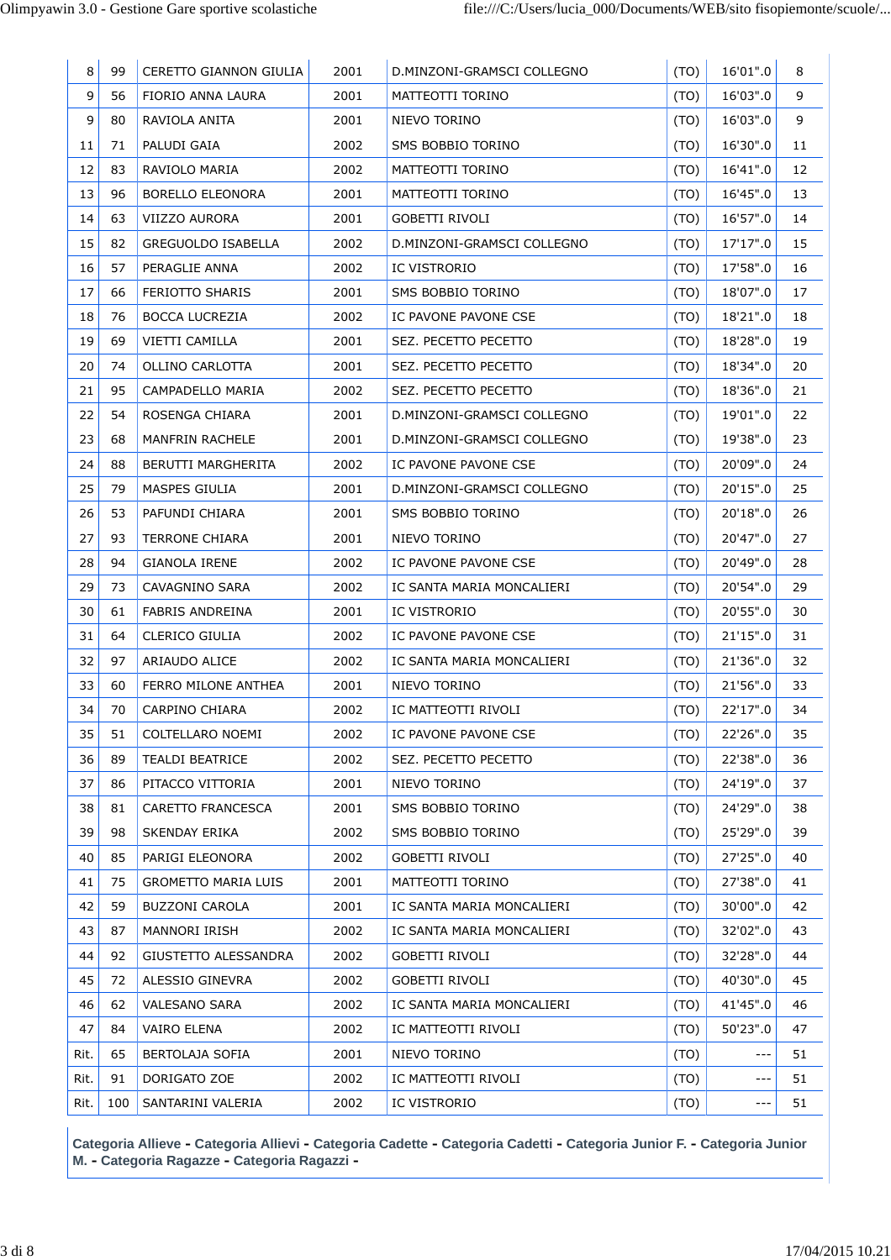| 8    | 99  | CERETTO GIANNON GIULIA     | 2001 | D.MINZONI-GRAMSCI COLLEGNO | (TO) | 16'01".0 | 8  |
|------|-----|----------------------------|------|----------------------------|------|----------|----|
| 9    | 56  | FIORIO ANNA LAURA          | 2001 | MATTEOTTI TORINO           | (TO) | 16'03".0 | 9  |
| 9    | 80  | RAVIOLA ANITA              | 2001 | NIEVO TORINO               | (TO) | 16'03".0 | 9  |
| 11   | 71  | PALUDI GAIA                | 2002 | SMS BOBBIO TORINO          | (TO) | 16'30".0 | 11 |
| 12   | 83  | RAVIOLO MARIA              | 2002 | MATTEOTTI TORINO           | (TO) | 16'41".0 | 12 |
| 13   | 96  | BORELLO ELEONORA           | 2001 | MATTEOTTI TORINO           | (TO) | 16'45".0 | 13 |
| 14   | 63  | VIIZZO AURORA              | 2001 | GOBETTI RIVOLI             | (TO) | 16'57".0 | 14 |
| 15   | 82  | <b>GREGUOLDO ISABELLA</b>  | 2002 | D.MINZONI-GRAMSCI COLLEGNO | (TO) | 17'17".0 | 15 |
| 16   | 57  | PERAGLIE ANNA              | 2002 | IC VISTRORIO               | (TO) | 17'58".0 | 16 |
| 17   | 66  | FERIOTTO SHARIS            | 2001 | SMS BOBBIO TORINO          | (TO) | 18'07".0 | 17 |
| 18   | 76  | <b>BOCCA LUCREZIA</b>      | 2002 | IC PAVONE PAVONE CSE       | (TO) | 18'21".0 | 18 |
| 19   | 69  | VIETTI CAMILLA             | 2001 | SEZ. PECETTO PECETTO       | (TO) | 18'28".0 | 19 |
| 20   | 74  | OLLINO CARLOTTA            | 2001 | SEZ. PECETTO PECETTO       | (TO) | 18'34".0 | 20 |
| 21   | 95  | CAMPADELLO MARIA           | 2002 | SEZ. PECETTO PECETTO       | (TO) | 18'36".0 | 21 |
| 22   | 54  | ROSENGA CHIARA             | 2001 | D.MINZONI-GRAMSCI COLLEGNO | (TO) | 19'01".0 | 22 |
| 23   | 68  | <b>MANFRIN RACHELE</b>     | 2001 | D.MINZONI-GRAMSCI COLLEGNO | (TO) | 19'38".0 | 23 |
| 24   | 88  | BERUTTI MARGHERITA         | 2002 | IC PAVONE PAVONE CSE       | (TO) | 20'09".0 | 24 |
| 25   | 79  | MASPES GIULIA              | 2001 | D.MINZONI-GRAMSCI COLLEGNO | (TO) | 20'15".0 | 25 |
| 26   | 53  | PAFUNDI CHIARA             | 2001 | SMS BOBBIO TORINO          | (TO) | 20'18".0 | 26 |
| 27   | 93  | <b>TERRONE CHIARA</b>      | 2001 | NIEVO TORINO               | (TO) | 20'47".0 | 27 |
| 28   | 94  | <b>GIANOLA IRENE</b>       | 2002 | IC PAVONE PAVONE CSE       | (TO) | 20'49".0 | 28 |
| 29   | 73  | CAVAGNINO SARA             | 2002 | IC SANTA MARIA MONCALIERI  | (TO) | 20'54".0 | 29 |
| 30   | 61  | <b>FABRIS ANDREINA</b>     | 2001 | IC VISTRORIO               | (TO) | 20'55".0 | 30 |
| 31   | 64  | CLERICO GIULIA             | 2002 | IC PAVONE PAVONE CSE       | (TO) | 21'15".0 | 31 |
| 32   | 97  | ARIAUDO ALICE              | 2002 | IC SANTA MARIA MONCALIERI  | (TO) | 21'36".0 | 32 |
| 33   | 60  | FERRO MILONE ANTHEA        | 2001 | NIEVO TORINO               | (TO) | 21'56".0 | 33 |
| 34   | 70  | CARPINO CHIARA             | 2002 | IC MATTEOTTI RIVOLI        | (TO) | 22'17".0 | 34 |
| 35   | 51  | COLTELLARO NOEMI           | 2002 | IC PAVONE PAVONE CSE       | (TO) | 22'26".0 | 35 |
| 36   | 89  | <b>TEALDI BEATRICE</b>     | 2002 | SEZ. PECETTO PECETTO       | (TO) | 22'38".0 | 36 |
| 37   | 86  | PITACCO VITTORIA           | 2001 | NIEVO TORINO               | (TO) | 24'19".0 | 37 |
| 38   | 81  | CARETTO FRANCESCA          | 2001 | SMS BOBBIO TORINO          | (TO) | 24'29".0 | 38 |
| 39   | 98  | SKENDAY ERIKA              | 2002 | SMS BOBBIO TORINO          | (TO) | 25'29".0 | 39 |
| 40   | 85  | PARIGI ELEONORA            | 2002 | <b>GOBETTI RIVOLI</b>      | (TO) | 27'25".0 | 40 |
| 41   | 75  | <b>GROMETTO MARIA LUIS</b> | 2001 | MATTEOTTI TORINO           | (TO) | 27'38".0 | 41 |
| 42   | 59  | <b>BUZZONI CAROLA</b>      | 2001 | IC SANTA MARIA MONCALIERI  | (TO) | 30'00".0 | 42 |
| 43   | 87  | MANNORI IRISH              | 2002 | IC SANTA MARIA MONCALIERI  | (TO) | 32'02".0 | 43 |
| 44   | 92  | GIUSTETTO ALESSANDRA       | 2002 | GOBETTI RIVOLI             | (TO) | 32'28".0 | 44 |
| 45   | 72  | ALESSIO GINEVRA            | 2002 | <b>GOBETTI RIVOLI</b>      | (TO) | 40'30".0 | 45 |
| 46   | 62  | <b>VALESANO SARA</b>       | 2002 | IC SANTA MARIA MONCALIERI  | (TO) | 41'45".0 | 46 |
| 47   | 84  | <b>VAIRO ELENA</b>         | 2002 | IC MATTEOTTI RIVOLI        | (TO) | 50'23".0 | 47 |
| Rit. | 65  | <b>BERTOLAJA SOFIA</b>     | 2001 | NIEVO TORINO               | (TO) | $- - -$  | 51 |
| Rit. | 91  | DORIGATO ZOE               | 2002 | IC MATTEOTTI RIVOLI        | (TO) | $---$    | 51 |
| Rit. | 100 | SANTARINI VALERIA          | 2002 | IC VISTRORIO               | (TO) | $---$    | 51 |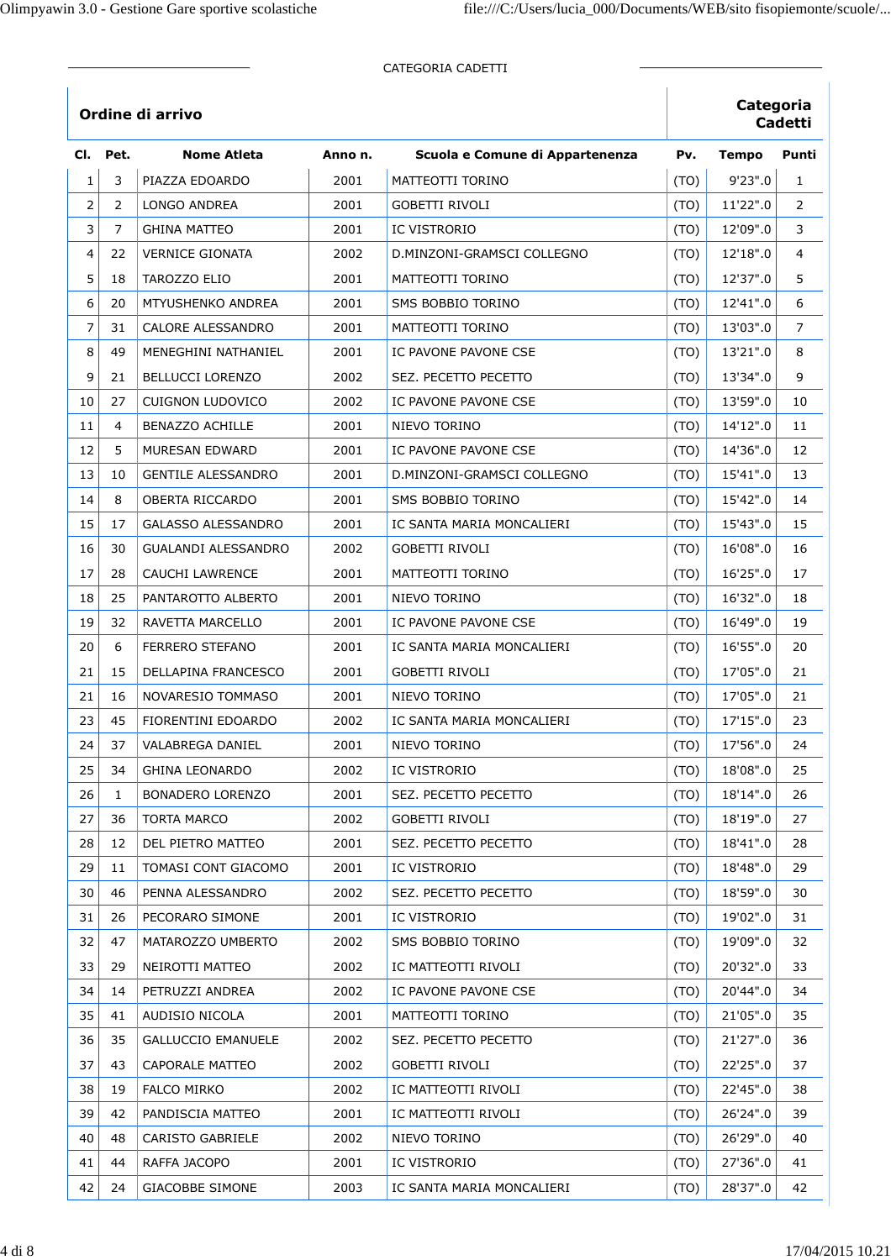|                |                |                            |         | CATEGORIA CADETTI               |      |              |                |
|----------------|----------------|----------------------------|---------|---------------------------------|------|--------------|----------------|
|                |                | Ordine di arrivo           |         |                                 |      | Categoria    | <b>Cadetti</b> |
| CI.            | Pet.           | <b>Nome Atleta</b>         | Anno n. | Scuola e Comune di Appartenenza | Pv.  | <b>Tempo</b> | Punti          |
| $\mathbf 1$    | 3              | PIAZZA EDOARDO             | 2001    | MATTEOTTI TORINO                | (TO) | 9'23".0      | 1              |
| $\overline{2}$ | $\overline{2}$ | LONGO ANDREA               | 2001    | <b>GOBETTI RIVOLI</b>           | (TO) | 11'22".0     | $\overline{2}$ |
| 3              | 7              | <b>GHINA MATTEO</b>        | 2001    | <b>IC VISTRORIO</b>             | (TO) | 12'09".0     | 3              |
| 4              | 22             | <b>VERNICE GIONATA</b>     | 2002    | D.MINZONI-GRAMSCI COLLEGNO      | (TO) | 12'18".0     | 4              |
| 5              | 18             | TAROZZO ELIO               | 2001    | MATTEOTTI TORINO                | (TO) | 12'37".0     | 5              |
| 6              | 20             | <b>MTYUSHENKO ANDREA</b>   | 2001    | SMS BOBBIO TORINO               | (TO) | 12'41".0     | 6              |
| $\overline{7}$ | 31             | CALORE ALESSANDRO          | 2001    | MATTEOTTI TORINO                | (TO) | 13'03".0     | $\overline{7}$ |
| 8              | 49             | MENEGHINI NATHANIEL        | 2001    | IC PAVONE PAVONE CSE            | (TO) | 13'21".0     | 8              |
| 9              | 21             | <b>BELLUCCI LORENZO</b>    | 2002    | SEZ. PECETTO PECETTO            | (TO) | 13'34".0     | 9              |
| 10             | 27             | <b>CUIGNON LUDOVICO</b>    | 2002    | IC PAVONE PAVONE CSE            | (TO) | 13'59".0     | 10             |
| 11             | 4              | <b>BENAZZO ACHILLE</b>     | 2001    | NIEVO TORINO                    | (TO) | 14'12".0     | 11             |
| 12             | 5              | MURESAN EDWARD             | 2001    | IC PAVONE PAVONE CSE            | (TO) | 14'36".0     | 12             |
| 13             | 10             | <b>GENTILE ALESSANDRO</b>  | 2001    | D.MINZONI-GRAMSCI COLLEGNO      | (TO) | 15'41".0     | 13             |
| 14             | 8              | OBERTA RICCARDO            | 2001    | SMS BOBBIO TORINO               | (TO) | 15'42".0     | 14             |
| 15             | 17             | GALASSO ALESSANDRO         | 2001    | IC SANTA MARIA MONCALIERI       | (TO) | 15'43".0     | 15             |
| 16             | 30             | <b>GUALANDI ALESSANDRO</b> | 2002    | GOBETTI RIVOLI                  | (TO) | 16'08".0     | 16             |
| 17             | 28             | <b>CAUCHI LAWRENCE</b>     | 2001    | MATTEOTTI TORINO                | (TO) | 16'25".0     | 17             |
| 18             | 25             | PANTAROTTO ALBERTO         | 2001    | NIEVO TORINO                    | (TO) | 16'32".0     | 18             |
| 19             | 32             | RAVETTA MARCELLO           | 2001    | IC PAVONE PAVONE CSE            | (TO) | 16'49".0     | 19             |
| 20             | 6              | <b>FERRERO STEFANO</b>     | 2001    | IC SANTA MARIA MONCALIERI       | (TO) | 16'55".0     | 20             |
| 21             | 15             | DELLAPINA FRANCESCO        | 2001    | <b>GOBETTI RIVOLI</b>           | (TO) | 17'05".0     | 21             |
| 21             | 16             | NOVARESIO TOMMASO          | 2001    | NIEVO TORINO                    | (TO) | 17'05".0     | 21             |
| 23             | 45             | FIORENTINI EDOARDO         | 2002    | IC SANTA MARIA MONCALIERI       | (TO) | 17'15".0     | 23             |
| 24             | 37             | VALABREGA DANIEL           | 2001    | NIEVO TORINO                    | (TO) | 17'56".0     | 24             |
| 25             | 34             | <b>GHINA LEONARDO</b>      | 2002    | IC VISTRORIO                    | (TO) | 18'08".0     | 25             |
| 26             | 1              | BONADERO LORENZO           | 2001    | SEZ. PECETTO PECETTO            | (TO) | 18'14".0     | 26             |
| 27             | 36             | TORTA MARCO                | 2002    | GOBETTI RIVOLI                  | (TO) | 18'19".0     | 27             |
| 28             | 12             | DEL PIETRO MATTEO          | 2001    | SEZ. PECETTO PECETTO            | (TO) | 18'41".0     | 28             |
| 29             | 11             | TOMASI CONT GIACOMO        | 2001    | IC VISTRORIO                    | (TO) | 18'48".0     | 29             |
| 30             | 46             | PENNA ALESSANDRO           | 2002    | SEZ. PECETTO PECETTO            | (TO) | 18'59".0     | 30             |
| 31             | 26             | PECORARO SIMONE            | 2001    | IC VISTRORIO                    | (TO) | 19'02".0     | 31             |
| 32             | 47             | MATAROZZO UMBERTO          | 2002    | SMS BOBBIO TORINO               | (TO) | 19'09".0     | 32             |
| 33             | 29             | NEIROTTI MATTEO            | 2002    | IC MATTEOTTI RIVOLI             | (TO) | 20'32".0     | 33             |
| 34             | 14             | PETRUZZI ANDREA            | 2002    | IC PAVONE PAVONE CSE            | (TO) | 20'44".0     | 34             |
| 35             | 41             | AUDISIO NICOLA             | 2001    | MATTEOTTI TORINO                | (TO) | 21'05".0     | 35             |
| 36             | 35             | <b>GALLUCCIO EMANUELE</b>  | 2002    | SEZ. PECETTO PECETTO            | (TO) | 21'27".0     | 36             |
| 37             | 43             | <b>CAPORALE MATTEO</b>     | 2002    | <b>GOBETTI RIVOLI</b>           | (TO) | 22'25".0     | 37             |
| 38             | 19             | <b>FALCO MIRKO</b>         | 2002    | IC MATTEOTTI RIVOLI             | (TO) | 22'45".0     | 38             |
| 39             | 42             | PANDISCIA MATTEO           | 2001    | IC MATTEOTTI RIVOLI             | (TO) | 26'24".0     | 39             |
| 40             | 48             | CARISTO GABRIELE           | 2002    | NIEVO TORINO                    | (TO) | 26'29".0     | 40             |
| 41             | 44             | RAFFA JACOPO               | 2001    | IC VISTRORIO                    | (TO) | 27'36".0     | 41             |
| 42             | 24             | <b>GIACOBBE SIMONE</b>     | 2003    | IC SANTA MARIA MONCALIERI       | (TO) | 28'37".0     | 42             |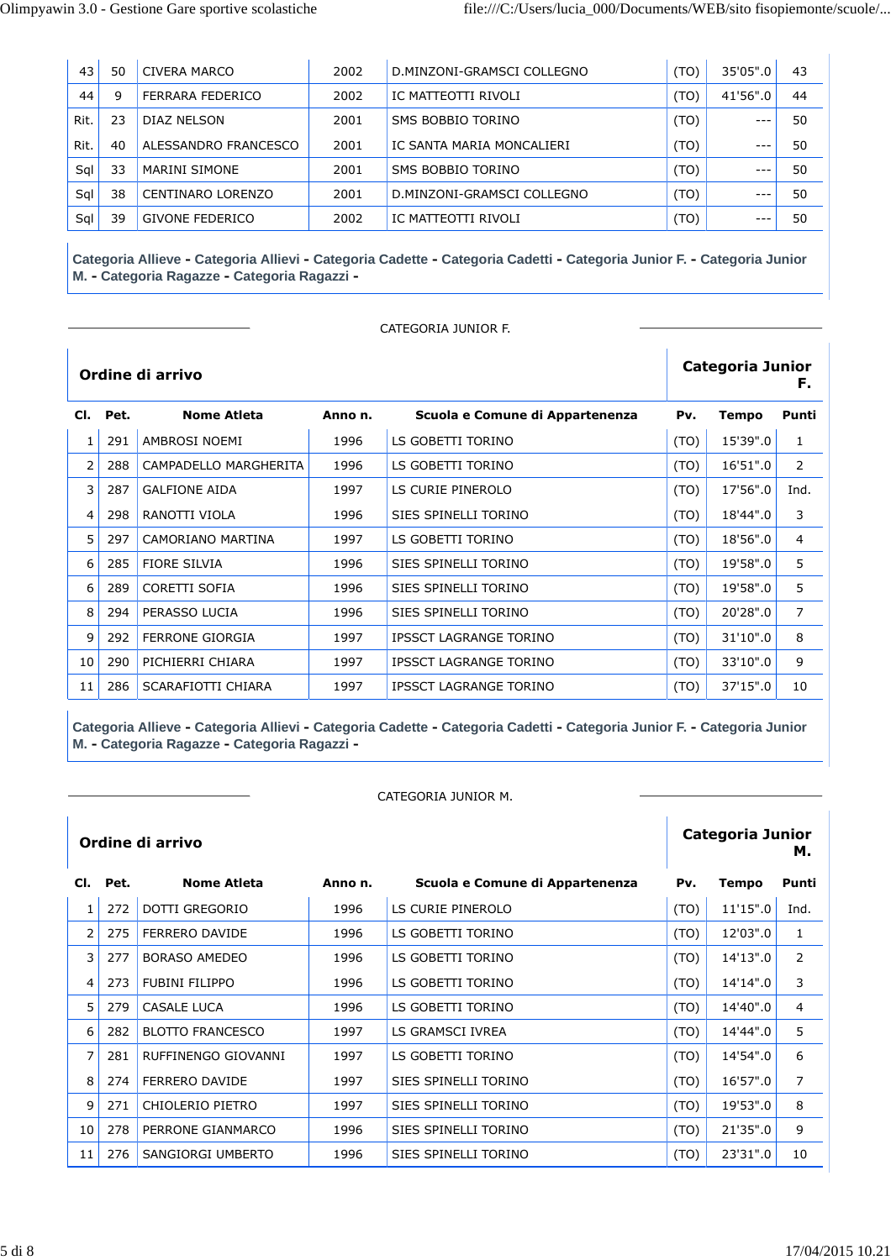| 43   | 50 | CIVERA MARCO           | 2002 | D.MINZONI-GRAMSCI COLLEGNO | (TO) | 35'05".0 | 43 |
|------|----|------------------------|------|----------------------------|------|----------|----|
| 44   | 9  | FERRARA FEDERICO       | 2002 | IC MATTEOTTI RIVOLI        | (TO) | 41'56".0 | 44 |
| Rit. | 23 | DIAZ NELSON            | 2001 | SMS BOBBIO TORINO          | (TO) | $- - -$  | 50 |
| Rit. | 40 | ALESSANDRO FRANCESCO   | 2001 | IC SANTA MARIA MONCALIERI  | (TO) | $---$    | 50 |
| Sal  | 33 | MARINI SIMONE          | 2001 | SMS BOBBIO TORINO          | (TO) | $- - -$  | 50 |
| Sal  | 38 | CENTINARO LORENZO      | 2001 | D.MINZONI-GRAMSCI COLLEGNO | (TO) | $--$     | 50 |
| Sql  | 39 | <b>GIVONE FEDERICO</b> | 2002 | IC MATTEOTTI RIVOLI        | (TO) | $---$    | 50 |

CATEGORIA JUNIOR F.

|    |          | Ordine di arrivo       |        |                                 | <b>Categoria Junior</b><br>F. |              |                |  |
|----|----------|------------------------|--------|---------------------------------|-------------------------------|--------------|----------------|--|
|    | Cl. Pet. | <b>Nome Atleta</b>     | Annon. | Scuola e Comune di Appartenenza | Pv.                           | <b>Tempo</b> | Punti          |  |
| 1  | 291      | AMBROSI NOEMI          | 1996   | LS GOBETTI TORINO               | (TO)                          | 15'39".0     | 1              |  |
| 2  | 288      | CAMPADELLO MARGHERITA  | 1996   | LS GOBETTI TORINO               | (TO)                          | 16'51".0     | 2              |  |
| 3  | 287      | <b>GALFIONE AIDA</b>   | 1997   | LS CURIE PINEROLO               | (TO)                          | 17'56".0     | Ind.           |  |
| 4  | 298      | RANOTTI VIOLA          | 1996   | SIES SPINELLI TORINO            | (TO)                          | 18'44".0     | 3              |  |
| 5  | 297      | CAMORIANO MARTINA      | 1997   | LS GOBETTI TORINO               | (TO)                          | 18'56".0     | 4              |  |
| 6  | 285      | <b>FIORE SILVIA</b>    | 1996   | SIES SPINELLI TORINO            | (TO)                          | 19'58".0     | 5              |  |
| 6  | 289      | CORETTI SOFIA          | 1996   | SIES SPINELLI TORINO            | (TO)                          | 19'58".0     | 5              |  |
| 8  | 294      | PERASSO LUCIA          | 1996   | SIES SPINELLI TORINO            | (TO)                          | 20'28".0     | $\overline{7}$ |  |
| 9  | 292      | <b>FERRONE GIORGIA</b> | 1997   | <b>IPSSCT LAGRANGE TORINO</b>   | (TO)                          | 31'10".0     | 8              |  |
| 10 | 290      | PICHIERRI CHIARA       | 1997   | <b>IPSSCT LAGRANGE TORINO</b>   | (TO)                          | 33'10".0     | 9              |  |
| 11 | 286      | SCARAFIOTTI CHIARA     | 1997   | <b>IPSSCT LAGRANGE TORINO</b>   | (TO)                          | 37'15".0     | 10             |  |

**Categoria Allieve - Categoria Allievi - Categoria Cadette - Categoria Cadetti - Categoria Junior F. - Categoria Junior M. - Categoria Ragazze - Categoria Ragazzi -**

CATEGORIA JUNIOR M.

|              |          | Ordine di arrivo        |         |                                 | <b>Categoria Junior</b><br>м. |          |                |
|--------------|----------|-------------------------|---------|---------------------------------|-------------------------------|----------|----------------|
|              | Cl. Pet. | <b>Nome Atleta</b>      | Anno n. | Scuola e Comune di Appartenenza | Pv.                           | Tempo    | Punti          |
| $\mathbf{1}$ | 272      | <b>DOTTI GREGORIO</b>   | 1996    | LS CURIE PINEROLO               | (TO)                          | 11'15".0 | Ind.           |
| 2            | 275      | <b>FERRERO DAVIDE</b>   | 1996    | LS GOBETTI TORINO               | (TO)                          | 12'03".0 | 1              |
| 3            | 277      | <b>BORASO AMEDEO</b>    | 1996    | LS GOBETTI TORINO               | (TO)                          | 14'13".0 | 2              |
| 4            | 273      | <b>FUBINI FILIPPO</b>   | 1996    | LS GOBETTI TORINO               | (TO)                          | 14'14".0 | 3              |
| 5            | 279      | <b>CASALE LUCA</b>      | 1996    | LS GOBETTI TORINO               | (TO)                          | 14'40".0 | $\overline{4}$ |
| 6            | 282      | <b>BLOTTO FRANCESCO</b> | 1997    | LS GRAMSCI IVREA                | (TO)                          | 14'44".0 | 5              |
| 7            | 281      | RUFFINENGO GIOVANNI     | 1997    | LS GOBETTI TORINO               | (TO)                          | 14'54".0 | 6              |
| 8            | 274      | FERRERO DAVIDE          | 1997    | SIES SPINELLI TORINO            | (TO)                          | 16'57".0 | $\overline{7}$ |
| 9            | 271      | CHIOLERIO PIETRO        | 1997    | SIES SPINELLI TORINO            | (TO)                          | 19'53".0 | 8              |
| 10           | 278      | PERRONE GIANMARCO       | 1996    | SIES SPINELLI TORINO            | (TO)                          | 21'35".0 | 9              |
| 11           | 276      | SANGIORGI UMBERTO       | 1996    | SIES SPINELLI TORINO            | (TO)                          | 23'31".0 | 10             |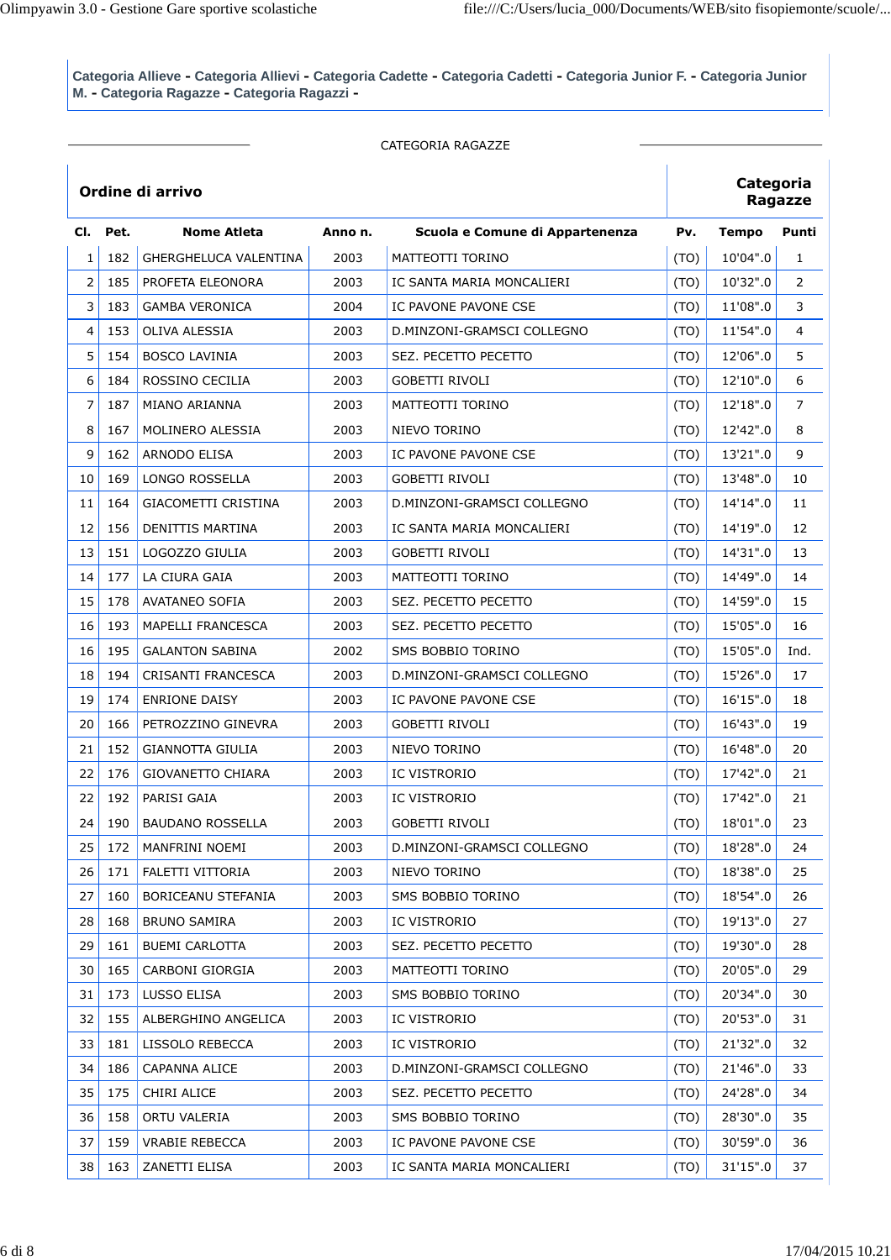|                |      |                              |        | CATEGORIA RAGAZZE               |      |              |                |
|----------------|------|------------------------------|--------|---------------------------------|------|--------------|----------------|
|                |      | Ordine di arrivo             |        |                                 |      | Categoria    | <b>Ragazze</b> |
| CI.            | Pet. | <b>Nome Atleta</b>           | Annon. | Scuola e Comune di Appartenenza | Pv.  | <b>Tempo</b> | Punti          |
| 1              | 182  | <b>GHERGHELUCA VALENTINA</b> | 2003   | <b>MATTEOTTI TORINO</b>         | (TO) | 10'04".0     | $\mathbf{1}$   |
| $\overline{2}$ | 185  | PROFETA ELEONORA             | 2003   | IC SANTA MARIA MONCALIERI       | (TO) | 10'32".0     | $\overline{2}$ |
| 3              | 183  | <b>GAMBA VERONICA</b>        | 2004   | IC PAVONE PAVONE CSE            | (TO) | 11'08".0     | 3              |
| 4              | 153  | OLIVA ALESSIA                | 2003   | D.MINZONI-GRAMSCI COLLEGNO      | (TO) | 11'54".0     | 4              |
| 5              | 154  | <b>BOSCO LAVINIA</b>         | 2003   | SEZ. PECETTO PECETTO            | (TO) | 12'06".0     | 5              |
| 6              | 184  | ROSSINO CECILIA              | 2003   | GOBETTI RIVOLI                  | (TO) | 12'10".0     | 6              |
| $\overline{7}$ | 187  | MIANO ARIANNA                | 2003   | MATTEOTTI TORINO                | (TO) | 12'18".0     | $\overline{7}$ |
| 8              | 167  | MOLINERO ALESSIA             | 2003   | NIEVO TORINO                    | (TO) | 12'42".0     | 8              |
| 9              | 162  | ARNODO ELISA                 | 2003   | IC PAVONE PAVONE CSE            | (TO) | 13'21".0     | 9              |
| 10             | 169  | LONGO ROSSELLA               | 2003   | <b>GOBETTI RIVOLI</b>           | (TO) | 13'48".0     | 10             |
| 11             | 164  | <b>GIACOMETTI CRISTINA</b>   | 2003   | D.MINZONI-GRAMSCI COLLEGNO      | (TO) | 14'14".0     | 11             |
| 12             | 156  | <b>DENITTIS MARTINA</b>      | 2003   | IC SANTA MARIA MONCALIERI       | (TO) | 14'19".0     | 12             |
| 13             | 151  | LOGOZZO GIULIA               | 2003   | <b>GOBETTI RIVOLI</b>           | (TO) | 14'31".0     | 13             |
| 14             | 177  | LA CIURA GAIA                | 2003   | MATTEOTTI TORINO                | (TO) | 14'49".0     | 14             |
| 15             | 178  | <b>AVATANEO SOFIA</b>        | 2003   | SEZ. PECETTO PECETTO            | (TO) | 14'59".0     | 15             |
| 16             | 193  | <b>MAPELLI FRANCESCA</b>     | 2003   | SEZ. PECETTO PECETTO            | (TO) | 15'05".0     | 16             |
| 16             | 195  | <b>GALANTON SABINA</b>       | 2002   | SMS BOBBIO TORINO               | (TO) | 15'05".0     | Ind.           |
| 18             | 194  | CRISANTI FRANCESCA           | 2003   | D.MINZONI-GRAMSCI COLLEGNO      | (TO) | 15'26".0     | 17             |
| 19             | 174  | <b>ENRIONE DAISY</b>         | 2003   | IC PAVONE PAVONE CSE            | (TO) | 16'15".0     | 18             |
| 20             | 166  | PETROZZINO GINEVRA           | 2003   | GOBETTI RIVOLI                  | (TO) | 16'43".0     | 19             |
| 21             | 152  | <b>GIANNOTTA GIULIA</b>      | 2003   | NIEVO TORINO                    | (TO) | 16'48".0     | 20             |
| 22             | 176  | <b>GIOVANETTO CHIARA</b>     | 2003   | IC VISTRORIO                    | (TO) | 17'42".0     | 21             |
| 22             | 192  | PARISI GAIA                  | 2003   | <b>IC VISTRORIO</b>             | (TO) | 17'42".0     | 21             |
| 24             | 190  | <b>BAUDANO ROSSELLA</b>      | 2003   | <b>GOBETTI RIVOLI</b>           | (TO) | 18'01".0     | 23             |
| 25             | 172  | MANFRINI NOEMI               | 2003   | D.MINZONI-GRAMSCI COLLEGNO      | (TO) | 18'28".0     | 24             |
| 26             | 171  | FALETTI VITTORIA             | 2003   | NIEVO TORINO                    | (TO) | 18'38".0     | 25             |
| 27             | 160  | BORICEANU STEFANIA           | 2003   | SMS BOBBIO TORINO               | (TO) | 18'54".0     | 26             |
| 28             | 168  | <b>BRUNO SAMIRA</b>          | 2003   | IC VISTRORIO                    | (TO) | 19'13".0     | 27             |
| 29             | 161  | <b>BUEMI CARLOTTA</b>        | 2003   | SEZ. PECETTO PECETTO            | (TO) | 19'30".0     | 28             |
| 30             | 165  | CARBONI GIORGIA              | 2003   | MATTEOTTI TORINO                | (TO) | 20'05".0     | 29             |
| 31             | 173  | LUSSO ELISA                  | 2003   | SMS BOBBIO TORINO               | (TO) | 20'34".0     | 30             |
| 32             | 155  | ALBERGHINO ANGELICA          | 2003   | IC VISTRORIO                    | (TO) | 20'53".0     | 31             |
| 33             | 181  | LISSOLO REBECCA              | 2003   | IC VISTRORIO                    | (TO) | 21'32".0     | 32             |
| 34             | 186  | CAPANNA ALICE                | 2003   | D.MINZONI-GRAMSCI COLLEGNO      | (TO) | 21'46".0     | 33             |
| 35             | 175  | CHIRI ALICE                  | 2003   | SEZ. PECETTO PECETTO            | (TO) | 24'28".0     | 34             |
| 36             | 158  | ORTU VALERIA                 | 2003   | SMS BOBBIO TORINO               | (TO) | 28'30".0     | 35             |
| 37             | 159  | <b>VRABIE REBECCA</b>        | 2003   | IC PAVONE PAVONE CSE            | (TO) | 30'59".0     | 36             |
| 38             | 163  | ZANETTI ELISA                | 2003   | IC SANTA MARIA MONCALIERI       | (TO) | 31'15".0     | 37             |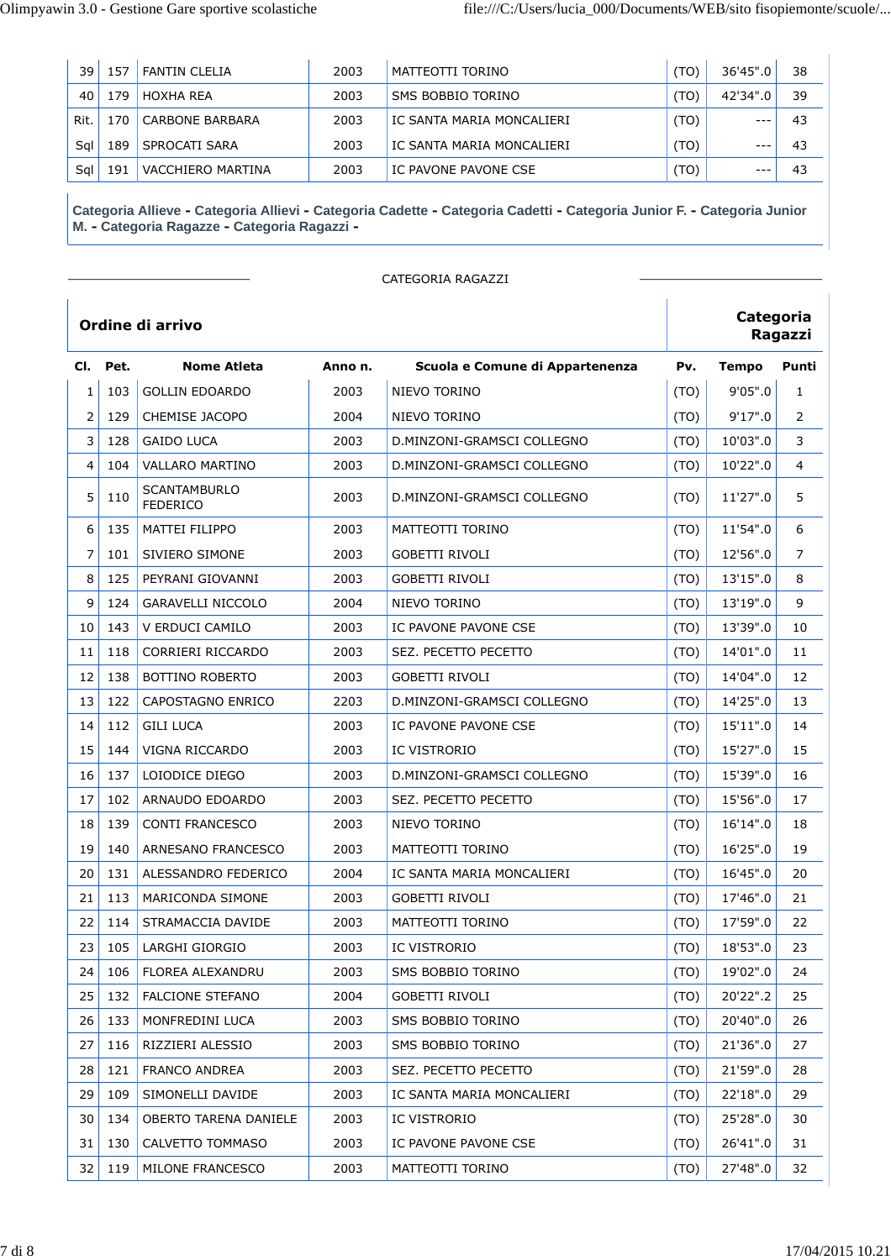| 39   | 57ء | <b>FANTIN CLELIA</b> | 2003 | MATTEOTTI TORINO          | $'TO$ ) | 36'45".0    | 38 |
|------|-----|----------------------|------|---------------------------|---------|-------------|----|
| 40   | 79  | HOXHA REA            | 2003 | SMS BOBBIO TORINO         | 'TO)    | 42'34".0    | 39 |
| Rit. | 70  | CARBONE BARBARA      | 2003 | IC SANTA MARIA MONCALIERI | (TO)    | $- -$       | 43 |
| Sal  | L89 | SPROCATI SARA        | 2003 | IC SANTA MARIA MONCALIERI | (TO)    | $- -$       | 43 |
| Sal  | 191 | VACCHIERO MARTINA    | 2003 | IC PAVONE PAVONE CSE      | (OT     | $- - \cdot$ | 43 |

|                |      |                                        |         | CATEGORIA RAGAZZI               |      |              |              |
|----------------|------|----------------------------------------|---------|---------------------------------|------|--------------|--------------|
|                |      | Ordine di arrivo                       |         |                                 |      | Categoria    | Ragazzi      |
| CI.            | Pet. | <b>Nome Atleta</b>                     | Anno n. | Scuola e Comune di Appartenenza | Pv.  | <b>Tempo</b> | Punti        |
| $\mathbf{1}$   | 103  | <b>GOLLIN EDOARDO</b>                  | 2003    | NIEVO TORINO                    | (TO) | 9'05".0      | $\mathbf{1}$ |
| $\overline{2}$ | 129  | CHEMISE JACOPO                         | 2004    | NIEVO TORINO                    | (TO) | 9'17''.0     | 2            |
| 3              | 128  | <b>GAIDO LUCA</b>                      | 2003    | D.MINZONI-GRAMSCI COLLEGNO      | (TO) | 10'03".0     | 3            |
| 4              | 104  | VALLARO MARTINO                        | 2003    | D.MINZONI-GRAMSCI COLLEGNO      | (TO) | 10'22".0     | 4            |
| 5              | 110  | <b>SCANTAMBURLO</b><br><b>FEDERICO</b> | 2003    | D.MINZONI-GRAMSCI COLLEGNO      | (TO) | 11'27".0     | 5            |
| 6              | 135  | <b>MATTEI FILIPPO</b>                  | 2003    | MATTEOTTI TORINO                | (TO) | 11'54".0     | 6            |
| 7              | 101  | SIVIERO SIMONE                         | 2003    | <b>GOBETTI RIVOLI</b>           | (TO) | 12'56".0     | 7            |
| 8              | 125  | PEYRANI GIOVANNI                       | 2003    | <b>GOBETTI RIVOLI</b>           | (TO) | 13'15".0     | 8            |
| 9              | 124  | <b>GARAVELLI NICCOLO</b>               | 2004    | NIEVO TORINO                    | (TO) | 13'19".0     | 9            |
| 10             | 143  | V ERDUCI CAMILO                        | 2003    | IC PAVONE PAVONE CSE            | (TO) | 13'39".0     | 10           |
| 11             | 118  | CORRIERI RICCARDO                      | 2003    | SEZ. PECETTO PECETTO            | (TO) | 14'01".0     | 11           |
| 12             | 138  | <b>BOTTINO ROBERTO</b>                 | 2003    | <b>GOBETTI RIVOLI</b>           | (TO) | 14'04".0     | 12           |
| 13             | 122  | CAPOSTAGNO ENRICO                      | 2203    | D.MINZONI-GRAMSCI COLLEGNO      | (TO) | 14'25".0     | 13           |
| 14             | 112  | <b>GILI LUCA</b>                       | 2003    | IC PAVONE PAVONE CSE            | (TO) | 15'11".0     | 14           |
| 15             | 144  | VIGNA RICCARDO                         | 2003    | IC VISTRORIO                    | (TO) | 15'27".0     | 15           |
| 16             | 137  | LOIODICE DIEGO                         | 2003    | D.MINZONI-GRAMSCI COLLEGNO      | (TO) | 15'39".0     | 16           |
| 17             | 102  | ARNAUDO EDOARDO                        | 2003    | SEZ. PECETTO PECETTO            | (TO) | 15'56".0     | 17           |
| 18             | 139  | <b>CONTI FRANCESCO</b>                 | 2003    | NIEVO TORINO                    | (TO) | 16'14".0     | 18           |
| 19             | 140  | ARNESANO FRANCESCO                     | 2003    | MATTEOTTI TORINO                | (TO) | 16'25".0     | 19           |
| 20             | 131  | ALESSANDRO FEDERICO                    | 2004    | IC SANTA MARIA MONCALIERI       | (TO) | 16'45".0     | 20           |
| 21             | 113  | MARICONDA SIMONE                       | 2003    | <b>GOBETTI RIVOLI</b>           | (TO) | 17'46".0     | 21           |
| 22             | 114  | STRAMACCIA DAVIDE                      | 2003    | MATTEOTTI TORINO                | (TO) | 17'59".0     | 22           |
| 23             | 105  | LARGHI GIORGIO                         | 2003    | IC VISTRORIO                    | (TO) | 18'53".0     | 23           |
| 24             | 106  | FLOREA ALEXANDRU                       | 2003    | SMS BOBBIO TORINO               | (TO) | 19'02".0     | 24           |
| 25             | 132  | FALCIONE STEFANO                       | 2004    | GOBETTI RIVOLI                  | (TO) | 20'22".2     | 25           |
| 26             | 133  | MONFREDINI LUCA                        | 2003    | SMS BOBBIO TORINO               | (TO) | 20'40".0     | 26           |
| 27             | 116  | RIZZIERI ALESSIO                       | 2003    | SMS BOBBIO TORINO               | (TO) | 21'36".0     | 27           |
| 28             | 121  | <b>FRANCO ANDREA</b>                   | 2003    | SEZ. PECETTO PECETTO            | (TO) | 21'59".0     | 28           |
| 29             | 109  | SIMONELLI DAVIDE                       | 2003    | IC SANTA MARIA MONCALIERI       | (TO) | 22'18".0     | 29           |
| 30             | 134  | OBERTO TARENA DANIELE                  | 2003    | IC VISTRORIO                    | (TO) | 25'28".0     | 30           |
| 31             | 130  | CALVETTO TOMMASO                       | 2003    | IC PAVONE PAVONE CSE            | (TO) | 26'41".0     | 31           |
| 32             | 119  | MILONE FRANCESCO                       | 2003    | MATTEOTTI TORINO                | (TO) | 27'48".0     | 32           |